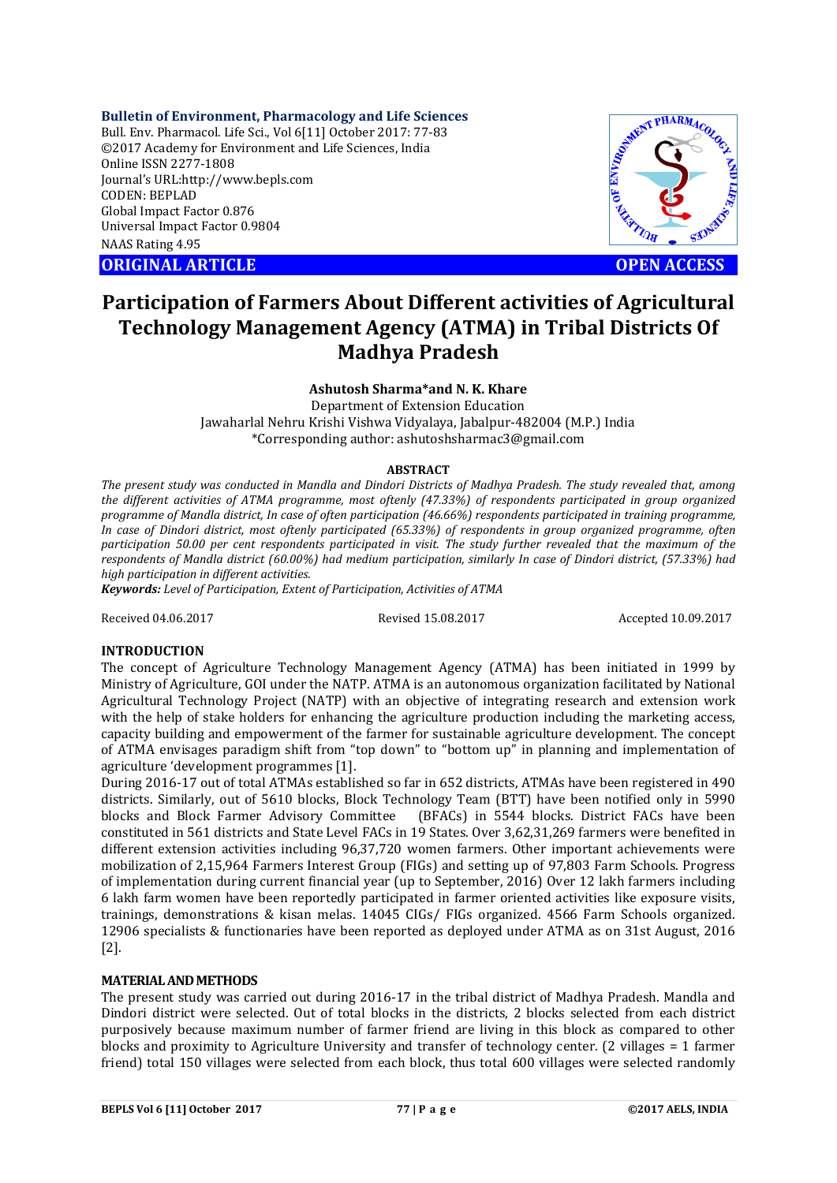**Bulletin of Environment, Pharmacology and Life Sciences**

Bull. Env. Pharmacol. Life Sci., Vol 6[11] October 2017: 77-83 ©2017 Academy for Environment and Life Sciences, India Online ISSN 2277-1808 Journal's URL:http://www.bepls.com CODEN: BEPLAD Global Impact Factor 0.876 Universal Impact Factor 0.9804 NAAS Rating 4.95

**ORIGINAL ARTICLE OPEN ACCESS**



# **Participation of Farmers About Different activities of Agricultural Technology Management Agency (ATMA) in Tribal Districts Of Madhya Pradesh**

## **Ashutosh Sharma\*and N. K. Khare**

Department of Extension Education Jawaharlal Nehru Krishi Vishwa Vidyalaya, Jabalpur-482004 (M.P.) India \*Corresponding author: ashutoshsharmac3@gmail.com

#### **ABSTRACT**

*The present study was conducted in Mandla and Dindori Districts of Madhya Pradesh. The study revealed that, among the different activities of ATMA programme, most oftenly (47.33%) of respondents participated in group organized programme of Mandla district, In case of often participation (46.66%) respondents participated in training programme, In case of Dindori district, most oftenly participated (65.33%) of respondents in group organized programme, often participation 50.00 per cent respondents participated in visit. The study further revealed that the maximum of the respondents of Mandla district (60.00%) had medium participation, similarly In case of Dindori district, (57.33%) had high participation in different activities.* 

*Keywords: Level of Participation, Extent of Participation, Activities of ATMA*

Received 04.06.2017 Revised 15.08.2017 Accepted 10.09.2017

## **INTRODUCTION**

The concept of Agriculture Technology Management Agency (ATMA) has been initiated in 1999 by Ministry of Agriculture, GOI under the NATP. ATMA is an autonomous organization facilitated by National Agricultural Technology Project (NATP) with an objective of integrating research and extension work with the help of stake holders for enhancing the agriculture production including the marketing access, capacity building and empowerment of the farmer for sustainable agriculture development. The concept of ATMA envisages paradigm shift from "top down" to "bottom up" in planning and implementation of agriculture 'development programmes [1].

During 2016-17 out of total ATMAs established so far in 652 districts, ATMAs have been registered in 490 districts. Similarly, out of 5610 blocks, Block Technology Team (BTT) have been notified only in 5990 blocks and Block Farmer Advisory Committee (BFACs) in 5544 blocks. District FACs have been constituted in 561 districts and State Level FACs in 19 States. Over 3,62,31,269 farmers were benefited in different extension activities including 96,37,720 women farmers. Other important achievements were mobilization of 2,15,964 Farmers Interest Group (FIGs) and setting up of 97,803 Farm Schools. Progress of implementation during current financial year (up to September, 2016) Over 12 lakh farmers including 6 lakh farm women have been reportedly participated in farmer oriented activities like exposure visits, trainings, demonstrations & kisan melas. 14045 CIGs/ FIGs organized. 4566 Farm Schools organized. 12906 specialists & functionaries have been reported as deployed under ATMA as on 31st August, 2016 [2].

## **MATERIAL AND METHODS**

The present study was carried out during 2016-17 in the tribal district of Madhya Pradesh. Mandla and Dindori district were selected. Out of total blocks in the districts, 2 blocks selected from each district purposively because maximum number of farmer friend are living in this block as compared to other blocks and proximity to Agriculture University and transfer of technology center. (2 villages = 1 farmer friend) total 150 villages were selected from each block, thus total 600 villages were selected randomly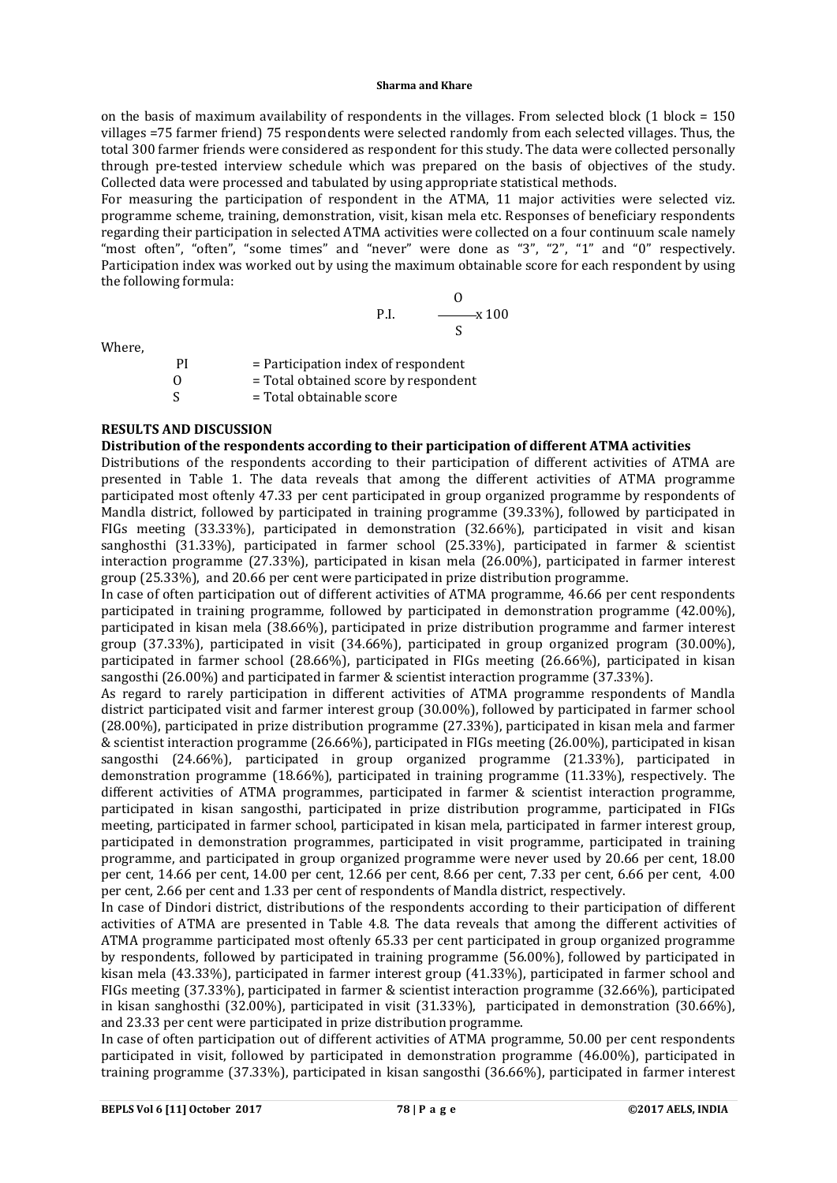#### **Sharma and Khare**

on the basis of maximum availability of respondents in the villages. From selected block  $(1 \text{ block} = 150$ villages =75 farmer friend) 75 respondents were selected randomly from each selected villages. Thus, the total 300 farmer friends were considered as respondent for this study. The data were collected personally through pre-tested interview schedule which was prepared on the basis of objectives of the study. Collected data were processed and tabulated by using appropriate statistical methods.

For measuring the participation of respondent in the ATMA, 11 major activities were selected viz. programme scheme, training, demonstration, visit, kisan mela etc. Responses of beneficiary respondents regarding their participation in selected ATMA activities were collected on a four continuum scale namely "most often", "often", "some times" and "never" were done as "3", "2", "1" and "0" respectively. Participation index was worked out by using the maximum obtainable score for each respondent by using the following formula:

P.I. 
$$
\frac{0}{s} \times 100
$$

Where,

PI = Participation index of respondent  $\begin{array}{lll} \n0 & = \text{Total obtained score by} \\ \n\end{array}$  = Total obtainable score  $=$  Total obtainable score

## **RESULTS AND DISCUSSION**

# **Distribution of the respondents according to their participation of different ATMA activities**

Distributions of the respondents according to their participation of different activities of ATMA are presented in Table 1. The data reveals that among the different activities of ATMA programme participated most oftenly 47.33 per cent participated in group organized programme by respondents of Mandla district, followed by participated in training programme (39.33%), followed by participated in FIGs meeting (33.33%), participated in demonstration (32.66%), participated in visit and kisan sanghosthi (31.33%), participated in farmer school (25.33%), participated in farmer & scientist interaction programme (27.33%), participated in kisan mela (26.00%), participated in farmer interest group (25.33%), and 20.66 per cent were participated in prize distribution programme.

In case of often participation out of different activities of ATMA programme, 46.66 per cent respondents participated in training programme, followed by participated in demonstration programme (42.00%), participated in kisan mela (38.66%), participated in prize distribution programme and farmer interest group (37.33%), participated in visit (34.66%), participated in group organized program (30.00%), participated in farmer school (28.66%), participated in FIGs meeting (26.66%), participated in kisan sangosthi (26.00%) and participated in farmer & scientist interaction programme (37.33%).

As regard to rarely participation in different activities of ATMA programme respondents of Mandla district participated visit and farmer interest group (30.00%), followed by participated in farmer school (28.00%), participated in prize distribution programme (27.33%), participated in kisan mela and farmer & scientist interaction programme (26.66%), participated in FIGs meeting (26.00%), participated in kisan sangosthi (24.66%), participated in group organized programme (21.33%), participated in demonstration programme (18.66%), participated in training programme (11.33%), respectively. The different activities of ATMA programmes, participated in farmer & scientist interaction programme, participated in kisan sangosthi, participated in prize distribution programme, participated in FIGs meeting, participated in farmer school, participated in kisan mela, participated in farmer interest group, participated in demonstration programmes, participated in visit programme, participated in training programme, and participated in group organized programme were never used by 20.66 per cent, 18.00 per cent, 14.66 per cent, 14.00 per cent, 12.66 per cent, 8.66 per cent, 7.33 per cent, 6.66 per cent, 4.00 per cent, 2.66 per cent and 1.33 per cent of respondents of Mandla district, respectively.

In case of Dindori district, distributions of the respondents according to their participation of different activities of ATMA are presented in Table 4.8. The data reveals that among the different activities of ATMA programme participated most oftenly 65.33 per cent participated in group organized programme by respondents, followed by participated in training programme (56.00%), followed by participated in kisan mela (43.33%), participated in farmer interest group (41.33%), participated in farmer school and FIGs meeting (37.33%), participated in farmer & scientist interaction programme (32.66%), participated in kisan sanghosthi (32.00%), participated in visit (31.33%), participated in demonstration (30.66%), and 23.33 per cent were participated in prize distribution programme.

In case of often participation out of different activities of ATMA programme, 50.00 per cent respondents participated in visit, followed by participated in demonstration programme (46.00%), participated in training programme (37.33%), participated in kisan sangosthi (36.66%), participated in farmer interest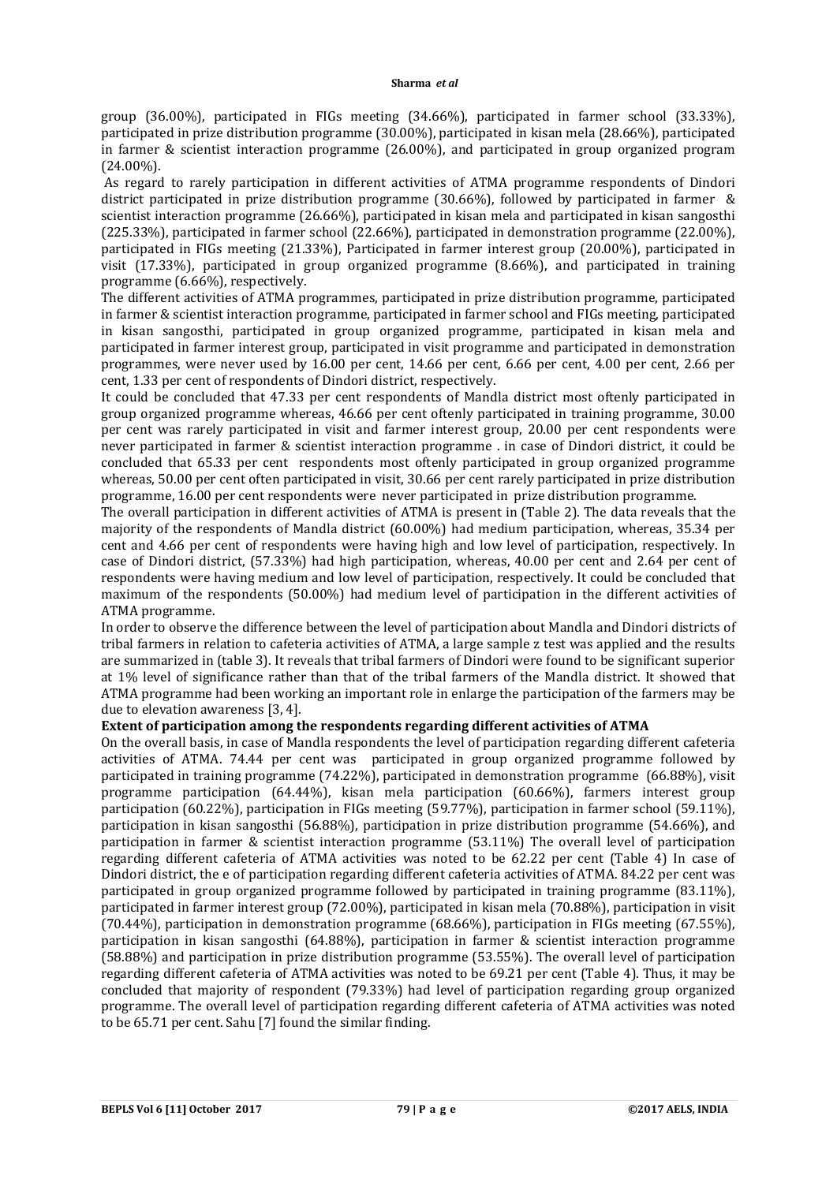group (36.00%), participated in FIGs meeting (34.66%), participated in farmer school (33.33%), participated in prize distribution programme (30.00%), participated in kisan mela (28.66%), participated in farmer & scientist interaction programme (26.00%), and participated in group organized program (24.00%).

As regard to rarely participation in different activities of ATMA programme respondents of Dindori district participated in prize distribution programme (30.66%), followed by participated in farmer & scientist interaction programme (26.66%), participated in kisan mela and participated in kisan sangosthi (225.33%), participated in farmer school (22.66%), participated in demonstration programme (22.00%), participated in FIGs meeting (21.33%), Participated in farmer interest group (20.00%), participated in visit (17.33%), participated in group organized programme (8.66%), and participated in training programme (6.66%), respectively.

The different activities of ATMA programmes, participated in prize distribution programme, participated in farmer & scientist interaction programme, participated in farmer school and FIGs meeting, participated in kisan sangosthi, participated in group organized programme, participated in kisan mela and participated in farmer interest group, participated in visit programme and participated in demonstration programmes, were never used by 16.00 per cent, 14.66 per cent, 6.66 per cent, 4.00 per cent, 2.66 per cent, 1.33 per cent of respondents of Dindori district, respectively.

It could be concluded that 47.33 per cent respondents of Mandla district most oftenly participated in group organized programme whereas, 46.66 per cent oftenly participated in training programme, 30.00 per cent was rarely participated in visit and farmer interest group, 20.00 per cent respondents were never participated in farmer & scientist interaction programme . in case of Dindori district, it could be concluded that 65.33 per cent respondents most oftenly participated in group organized programme whereas, 50.00 per cent often participated in visit, 30.66 per cent rarely participated in prize distribution programme, 16.00 per cent respondents were never participated in prize distribution programme.

The overall participation in different activities of ATMA is present in (Table 2). The data reveals that the majority of the respondents of Mandla district (60.00%) had medium participation, whereas, 35.34 per cent and 4.66 per cent of respondents were having high and low level of participation, respectively. In case of Dindori district, (57.33%) had high participation, whereas, 40.00 per cent and 2.64 per cent of respondents were having medium and low level of participation, respectively. It could be concluded that maximum of the respondents (50.00%) had medium level of participation in the different activities of ATMA programme.

In order to observe the difference between the level of participation about Mandla and Dindori districts of tribal farmers in relation to cafeteria activities of ATMA, a large sample z test was applied and the results are summarized in (table 3). It reveals that tribal farmers of Dindori were found to be significant superior at 1% level of significance rather than that of the tribal farmers of the Mandla district. It showed that ATMA programme had been working an important role in enlarge the participation of the farmers may be due to elevation awareness [3, 4].

## **Extent of participation among the respondents regarding different activities of ATMA**

On the overall basis, in case of Mandla respondents the level of participation regarding different cafeteria activities of ATMA. 74.44 per cent was participated in group organized programme followed by participated in training programme (74.22%), participated in demonstration programme (66.88%), visit programme participation (64.44%), kisan mela participation (60.66%), farmers interest group participation (60.22%), participation in FIGs meeting (59.77%), participation in farmer school (59.11%), participation in kisan sangosthi (56.88%), participation in prize distribution programme (54.66%), and participation in farmer & scientist interaction programme (53.11%) The overall level of participation regarding different cafeteria of ATMA activities was noted to be 62.22 per cent (Table 4) In case of Dindori district, the e of participation regarding different cafeteria activities of ATMA. 84.22 per cent was participated in group organized programme followed by participated in training programme (83.11%), participated in farmer interest group (72.00%), participated in kisan mela (70.88%), participation in visit (70.44%), participation in demonstration programme (68.66%), participation in FIGs meeting (67.55%), participation in kisan sangosthi (64.88%), participation in farmer & scientist interaction programme (58.88%) and participation in prize distribution programme (53.55%). The overall level of participation regarding different cafeteria of ATMA activities was noted to be 69.21 per cent (Table 4). Thus, it may be concluded that majority of respondent (79.33%) had level of participation regarding group organized programme. The overall level of participation regarding different cafeteria of ATMA activities was noted to be 65.71 per cent. Sahu [7] found the similar finding.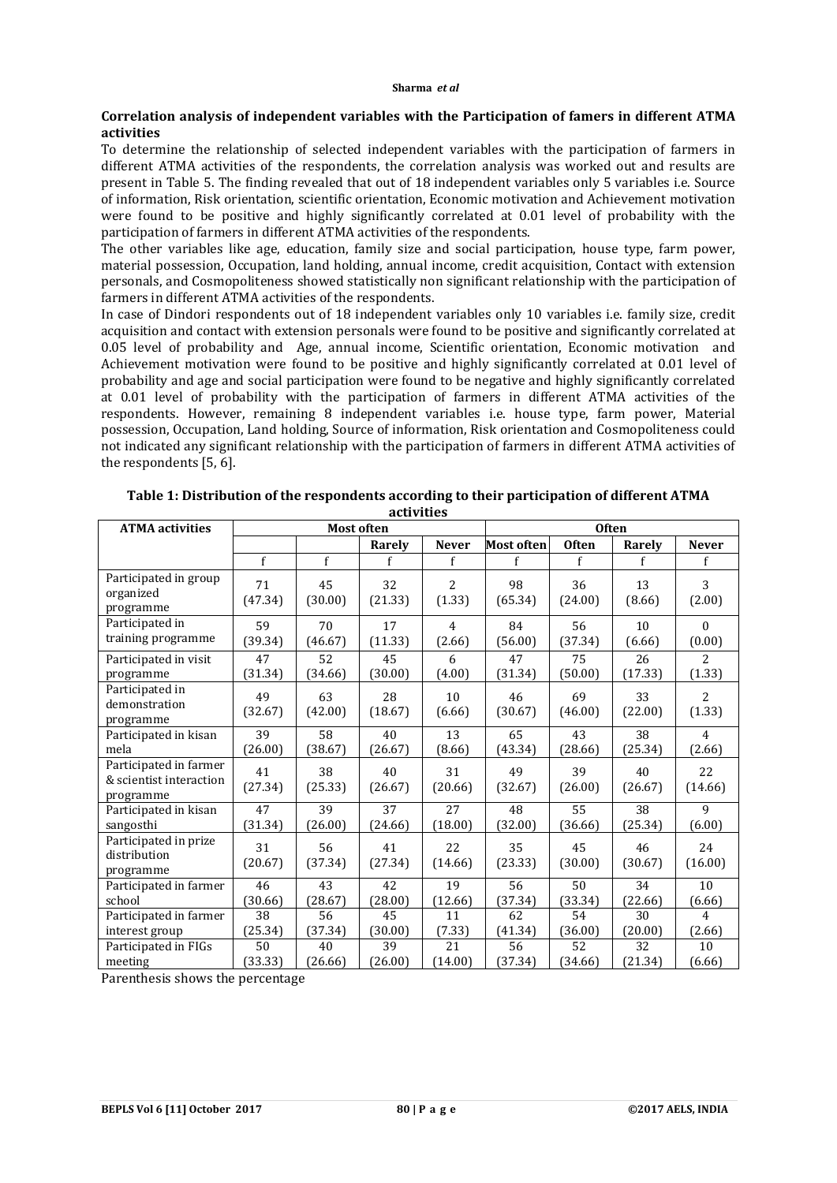## **Correlation analysis of independent variables with the Participation of famers in different ATMA activities**

To determine the relationship of selected independent variables with the participation of farmers in different ATMA activities of the respondents, the correlation analysis was worked out and results are present in Table 5. The finding revealed that out of 18 independent variables only 5 variables i.e. Source of information, Risk orientation, scientific orientation, Economic motivation and Achievement motivation were found to be positive and highly significantly correlated at 0.01 level of probability with the participation of farmers in different ATMA activities of the respondents.

The other variables like age, education, family size and social participation, house type, farm power, material possession, Occupation, land holding, annual income, credit acquisition, Contact with extension personals, and Cosmopoliteness showed statistically non significant relationship with the participation of farmers in different ATMA activities of the respondents.

In case of Dindori respondents out of 18 independent variables only 10 variables i.e. family size, credit acquisition and contact with extension personals were found to be positive and significantly correlated at 0.05 level of probability and Age, annual income, Scientific orientation, Economic motivation and Achievement motivation were found to be positive and highly significantly correlated at 0.01 level of probability and age and social participation were found to be negative and highly significantly correlated at 0.01 level of probability with the participation of farmers in different ATMA activities of the respondents. However, remaining 8 independent variables i.e. house type, farm power, Material possession, Occupation, Land holding, Source of information, Risk orientation and Cosmopoliteness could not indicated any significant relationship with the participation of farmers in different ATMA activities of the respondents [5, 6].

| <b>ATMA</b> activities                                         |               | <b>Most often</b> |               |                          |                   | <b>Often</b>  |               |                |  |
|----------------------------------------------------------------|---------------|-------------------|---------------|--------------------------|-------------------|---------------|---------------|----------------|--|
|                                                                |               |                   | Rarely        | <b>Never</b>             | <b>Most often</b> | <b>Often</b>  | Rarely        | <b>Never</b>   |  |
|                                                                | f             | f                 | f             | f                        | f                 | f             | f             | f              |  |
| Participated in group<br>organized<br>programme                | 71<br>(47.34) | 45<br>(30.00)     | 32<br>(21.33) | $\overline{c}$<br>(1.33) | 98<br>(65.34)     | 36<br>(24.00) | 13<br>(8.66)  | 3<br>(2.00)    |  |
| Participated in                                                | 59            | 70                | 17            | $\overline{4}$           | 84                | 56            | 10            | $\theta$       |  |
| training programme                                             | (39.34)       | (46.67)           | (11.33)       | (2.66)                   | (56.00)           | (37.34)       | (6.66)        | (0.00)         |  |
| Participated in visit                                          | 47            | 52                | 45            | 6                        | 47                | 75            | 26            | $\overline{2}$ |  |
| programme                                                      | (31.34)       | (34.66)           | (30.00)       | (4.00)                   | (31.34)           | (50.00)       | (17.33)       | (1.33)         |  |
| Participated in<br>demonstration<br>programme                  | 49<br>(32.67) | 63<br>(42.00)     | 28<br>(18.67) | 10<br>(6.66)             | 46<br>(30.67)     | 69<br>(46.00) | 33<br>(22.00) | 2<br>(1.33)    |  |
| Participated in kisan                                          | 39            | 58                | 40            | 13                       | 65                | 43            | 38            | $\overline{4}$ |  |
| mela                                                           | (26.00)       | (38.67)           | (26.67)       | (8.66)                   | (43.34)           | (28.66)       | (25.34)       | (2.66)         |  |
| Participated in farmer<br>& scientist interaction<br>programme | 41<br>(27.34) | 38<br>(25.33)     | 40<br>(26.67) | 31<br>(20.66)            | 49<br>(32.67)     | 39<br>(26.00) | 40<br>(26.67) | 22<br>(14.66)  |  |
| Participated in kisan                                          | 47            | 39                | 37            | 27                       | 48                | 55            | 38            | 9              |  |
| sangosthi                                                      | (31.34)       | (26.00)           | (24.66)       | (18.00)                  | (32.00)           | (36.66)       | (25.34)       | (6.00)         |  |
| Participated in prize<br>distribution<br>programme             | 31<br>(20.67) | 56<br>(37.34)     | 41<br>(27.34) | 22<br>(14.66)            | 35<br>(23.33)     | 45<br>(30.00) | 46<br>(30.67) | 24<br>(16.00)  |  |
| Participated in farmer                                         | 46            | 43                | 42            | 19                       | 56                | 50            | 34            | 10             |  |
| school                                                         | (30.66)       | (28.67)           | (28.00)       | (12.66)                  | (37.34)           | (33.34)       | (22.66)       | (6.66)         |  |
| Participated in farmer                                         | 38            | 56                | 45            | 11                       | 62                | 54            | 30            | $\overline{4}$ |  |
| interest group                                                 | (25.34)       | (37.34)           | (30.00)       | (7.33)                   | (41.34)           | (36.00)       | (20.00)       | (2.66)         |  |
| Participated in FIGs                                           | 50            | 40                | 39            | 21                       | 56                | 52            | 32            | 10             |  |
| meeting                                                        | (33.33)       | (26.66)           | (26.00)       | (14.00)                  | (37.34)           | (34.66)       | (21.34)       | (6.66)         |  |

| Table 1: Distribution of the respondents according to their participation of different ATMA |
|---------------------------------------------------------------------------------------------|
| activities                                                                                  |

Parenthesis shows the percentage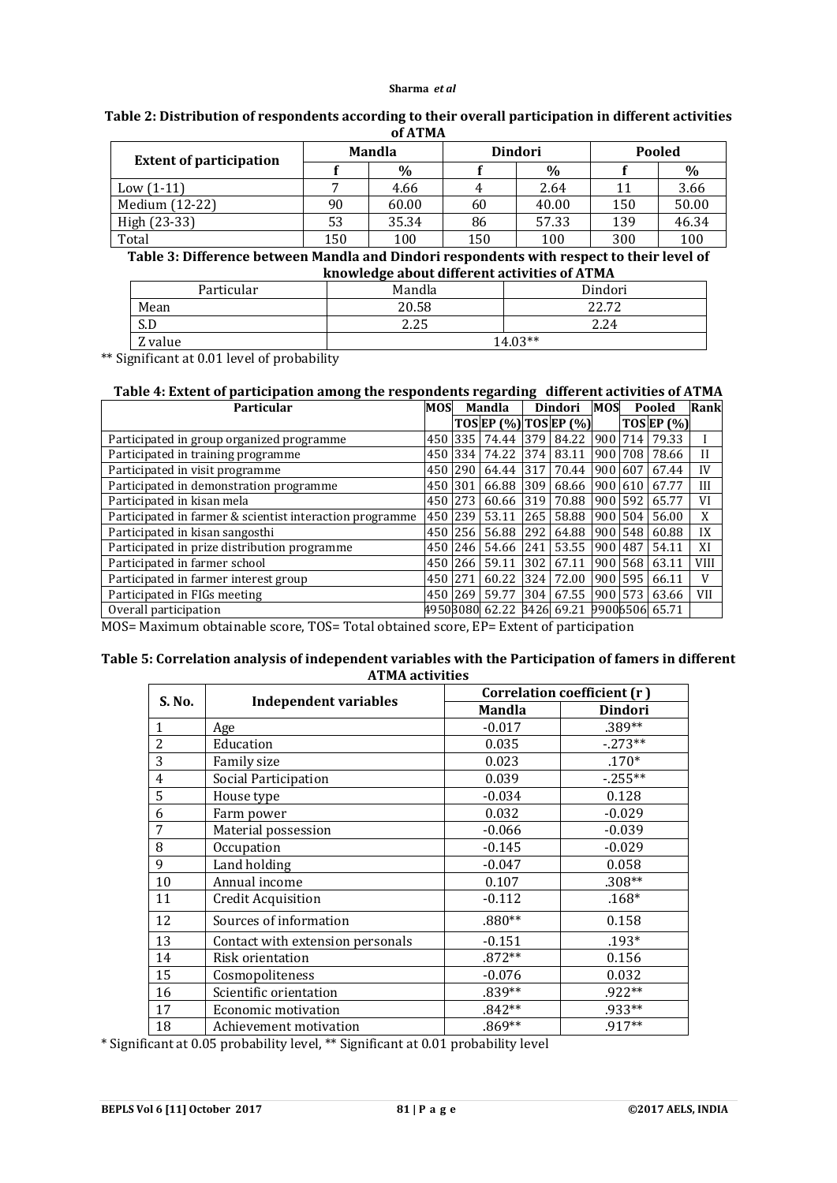#### **Sharma** *et al*

| Table 2: Distribution of respondents according to their overall participation in different activities |
|-------------------------------------------------------------------------------------------------------|
| of ATMA                                                                                               |

| <b>Extent of participation</b>                                                            | <b>Mandla</b> |       |     | <b>Dindori</b> | Pooled |       |  |  |
|-------------------------------------------------------------------------------------------|---------------|-------|-----|----------------|--------|-------|--|--|
|                                                                                           |               | $\%$  |     | $\%$           |        | $\%$  |  |  |
| $Low (1-11)$                                                                              |               | 4.66  | 4   | 2.64           | 11     | 3.66  |  |  |
| Medium (12-22)                                                                            | 90            | 60.00 | 60  | 40.00          | 150    | 50.00 |  |  |
| High (23-33)                                                                              | 53            | 35.34 | 86  | 57.33          | 139    | 46.34 |  |  |
| Total                                                                                     | 150           | 100   | 150 | 100            |        | 100   |  |  |
| Table 9. Difference between Marchie and Dinderi managed antennith managette their land of |               |       |     |                |        |       |  |  |

**Table 3: Difference between Mandla and Dindori respondents with respect to their level of knowledge about different activities of ATMA**

| Particular | Mandla | Dindori |  |  |  |
|------------|--------|---------|--|--|--|
| Mean       | 20.58  | 22.72   |  |  |  |
| S.D        | 2.25   | 2.24    |  |  |  |
| Z value    |        | 14.03** |  |  |  |

\*\* Significant at 0.01 level of probability

## **Table 4: Extent of participation among the respondents regarding different activities of ATMA**

| <b>MOS</b><br>Particular                                 |     | Mandla |                       | Dindori |            | <b>MOS</b> | Pooled  |                  | Rank        |
|----------------------------------------------------------|-----|--------|-----------------------|---------|------------|------------|---------|------------------|-------------|
|                                                          |     |        | TOS EP (%) TOS EP (%) |         |            |            |         | $TOS$ EP $(\% )$ |             |
| Participated in group organized programme                | 450 | 335    | 74.44                 | 379     | 84.22      | 900 714    |         | 79.33            |             |
| Participated in training programme                       | 450 | 334    | 74.22                 | 374     | 83.11      | 900 708    |         | 78.66            | $_{\rm II}$ |
| Participated in visit programme                          | 450 | 290    | 64.44                 | 317     | 70.44      | 900 607    |         | 67.44            | IV          |
| Participated in demonstration programme                  | 450 | 301    | 66.88                 | 309     | 68.66      | 900 610    |         | 67.77            | III         |
| Participated in kisan mela                               | 450 | 273    | 60.66                 | 319     | 70.88      | 900        | 592     | 65.77            | VI          |
| Participated in farmer & scientist interaction programme |     | 239    | 53.11                 | 265     | 58.88      |            | 900 504 | 56.00            | X           |
| Participated in kisan sangosthi                          | 450 | 256    | 56.88                 | 292     | 64.88      | 900 548    |         | 60.88            | IX          |
| Participated in prize distribution programme             | 450 | 246    | 54.66                 | 241     | 53.55      | 900        | 487     | 54.11            | XI          |
| Participated in farmer school                            | 450 | 266    | 59.11                 | 302     | 67.11      | 900 568    |         | 63.11            | <b>VIII</b> |
| Participated in farmer interest group                    | 450 | 271    | 60.22                 | 324     | 72.00      | 900 595    |         | 66.11            | V           |
| Participated in FIGs meeting                             | 450 | 269    | 59.77                 | 304     | 67.55      | 900 573    |         | 63.66            | VII         |
| Overall participation                                    |     |        | 49508080 62.22        |         | 3426 69.21 |            |         | 99006506 65.71   |             |

MOS= Maximum obtainable score, TOS= Total obtained score, EP= Extent of participation

## **Table 5: Correlation analysis of independent variables with the Participation of famers in different ATMA activities**

| S. No.         |                                  | Correlation coefficient (r) |                |  |  |
|----------------|----------------------------------|-----------------------------|----------------|--|--|
|                | <b>Independent variables</b>     | <b>Mandla</b>               | <b>Dindori</b> |  |  |
| $\mathbf{1}$   | Age                              | $-0.017$                    | .389**         |  |  |
| 2              | Education                        | 0.035                       | $-273**$       |  |  |
| 3              | Family size                      | 0.023                       | $.170*$        |  |  |
| $\overline{4}$ | Social Participation             | 0.039                       | $-255**$       |  |  |
| 5              | House type                       | $-0.034$                    | 0.128          |  |  |
| 6              | Farm power                       | 0.032                       | $-0.029$       |  |  |
| 7              | Material possession              | $-0.066$                    | $-0.039$       |  |  |
| 8              | Occupation                       | $-0.145$                    | $-0.029$       |  |  |
| 9              | Land holding                     | $-0.047$                    | 0.058          |  |  |
| 10             | Annual income                    | 0.107                       | $.308**$       |  |  |
| 11             | Credit Acquisition               | $-0.112$                    | $.168*$        |  |  |
| 12             | Sources of information           | $.880**$                    | 0.158          |  |  |
| 13             | Contact with extension personals | $-0.151$                    | $.193*$        |  |  |
| 14             | Risk orientation                 | $.872**$                    | 0.156          |  |  |
| 15             | Cosmopoliteness                  | $-0.076$                    | 0.032          |  |  |
| 16             | Scientific orientation           | $.839**$                    | .922**         |  |  |
| 17             | Economic motivation              | $.842**$                    | .933**         |  |  |
| 18             | Achievement motivation           | $.869**$                    | .917**         |  |  |

\* Significant at 0.05 probability level, \*\* Significant at 0.01 probability level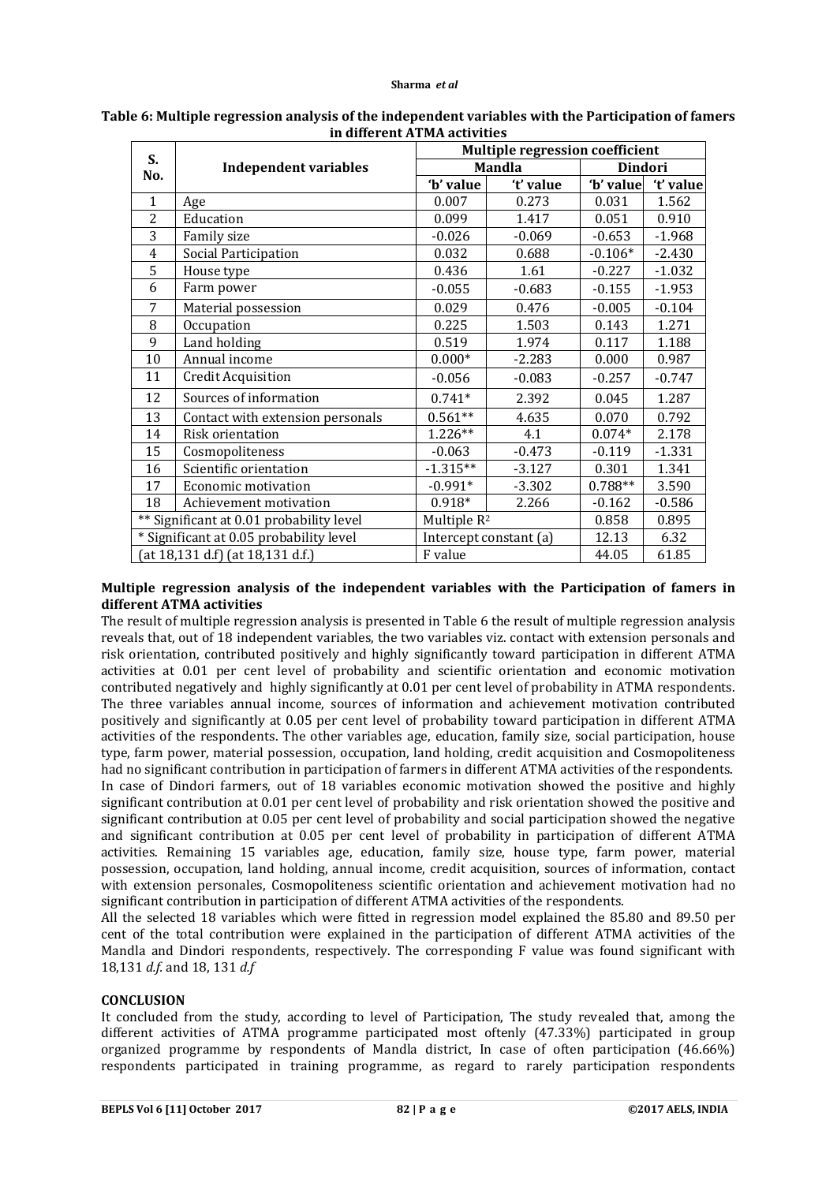#### **Sharma** *et al*

| S.                               |                                          | <b>Multiple regression coefficient</b> |                        |                |           |  |  |  |
|----------------------------------|------------------------------------------|----------------------------------------|------------------------|----------------|-----------|--|--|--|
| No.                              | <b>Independent variables</b>             |                                        | <b>Mandla</b>          | <b>Dindori</b> |           |  |  |  |
|                                  |                                          | 'b' value                              | 't' value              | 'b' value      | 't' value |  |  |  |
| $\mathbf{1}$                     | Age                                      | 0.007                                  | 0.273                  | 0.031          | 1.562     |  |  |  |
| $\overline{2}$                   | Education                                | 0.099                                  | 1.417                  | 0.051          | 0.910     |  |  |  |
| 3                                | Family size                              | $-0.026$                               | $-0.069$               | $-0.653$       | $-1.968$  |  |  |  |
| $\overline{4}$                   | Social Participation                     | 0.032                                  | 0.688                  | $-0.106*$      | $-2.430$  |  |  |  |
| 5                                | House type                               | 0.436                                  | 1.61                   | $-0.227$       | $-1.032$  |  |  |  |
| 6                                | Farm power                               | $-0.055$                               | $-0.683$               | $-0.155$       | $-1.953$  |  |  |  |
| 7                                | Material possession                      | 0.029                                  | 0.476                  | $-0.005$       | $-0.104$  |  |  |  |
| 8                                | Occupation                               | 0.225                                  | 1.503                  | 0.143          | 1.271     |  |  |  |
| 9                                | Land holding                             | 0.519                                  | 1.974                  | 0.117          | 1.188     |  |  |  |
| 10                               | Annual income                            | $0.000*$                               | $-2.283$               | 0.000          | 0.987     |  |  |  |
| 11                               | Credit Acquisition                       | $-0.056$                               | $-0.083$               | $-0.257$       | $-0.747$  |  |  |  |
| 12                               | Sources of information                   | $0.741*$                               | 2.392                  | 0.045          | 1.287     |  |  |  |
| 13                               | Contact with extension personals         | $0.561**$                              | 4.635                  | 0.070          | 0.792     |  |  |  |
| 14                               | Risk orientation                         | 1.226**                                | 4.1                    | $0.074*$       | 2.178     |  |  |  |
| 15                               | Cosmopoliteness                          | $-0.063$                               | $-0.473$               | $-0.119$       | $-1.331$  |  |  |  |
| 16                               | Scientific orientation                   | $-1.315**$                             | $-3.127$               | 0.301          | 1.341     |  |  |  |
| 17                               | Economic motivation                      | $-0.991*$                              | $-3.302$               | $0.788**$      | 3.590     |  |  |  |
| 18                               | Achievement motivation                   | $0.918*$                               | 2.266                  | $-0.162$       | $-0.586$  |  |  |  |
|                                  | ** Significant at 0.01 probability level |                                        | Multiple $R^2$         |                | 0.895     |  |  |  |
|                                  | * Significant at 0.05 probability level  |                                        | Intercept constant (a) | 12.13          | 6.32      |  |  |  |
| (at 18,131 d.f) (at 18,131 d.f.) |                                          | F value                                |                        | 44.05          | 61.85     |  |  |  |

# **Table 6: Multiple regression analysis of the independent variables with the Participation of famers in different ATMA activities**

# **Multiple regression analysis of the independent variables with the Participation of famers in different ATMA activities**

The result of multiple regression analysis is presented in Table 6 the result of multiple regression analysis reveals that, out of 18 independent variables, the two variables viz. contact with extension personals and risk orientation, contributed positively and highly significantly toward participation in different ATMA activities at 0.01 per cent level of probability and scientific orientation and economic motivation contributed negatively and highly significantly at 0.01 per cent level of probability in ATMA respondents. The three variables annual income, sources of information and achievement motivation contributed positively and significantly at 0.05 per cent level of probability toward participation in different ATMA activities of the respondents. The other variables age, education, family size, social participation, house type, farm power, material possession, occupation, land holding, credit acquisition and Cosmopoliteness had no significant contribution in participation of farmers in different ATMA activities of the respondents. In case of Dindori farmers, out of 18 variables economic motivation showed the positive and highly significant contribution at 0.01 per cent level of probability and risk orientation showed the positive and significant contribution at 0.05 per cent level of probability and social participation showed the negative and significant contribution at 0.05 per cent level of probability in participation of different ATMA activities. Remaining 15 variables age, education, family size, house type, farm power, material possession, occupation, land holding, annual income, credit acquisition, sources of information, contact with extension personales, Cosmopoliteness scientific orientation and achievement motivation had no significant contribution in participation of different ATMA activities of the respondents.

All the selected 18 variables which were fitted in regression model explained the 85.80 and 89.50 per cent of the total contribution were explained in the participation of different ATMA activities of the Mandla and Dindori respondents, respectively. The corresponding F value was found significant with 18,131 *d.f.* and 18, 131 *d.f*

# **CONCLUSION**

It concluded from the study, according to level of Participation, The study revealed that, among the different activities of ATMA programme participated most oftenly (47.33%) participated in group organized programme by respondents of Mandla district, In case of often participation (46.66%) respondents participated in training programme, as regard to rarely participation respondents